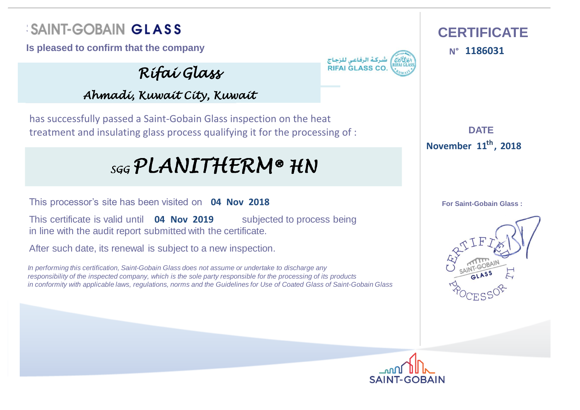## **SAINT-GOBAIN GLASS CERTIFICATE**

**Is pleased to confirm that the company 1186031**

*Rifai Glass*

**RIFALGLASS C** 

**N°**

**DATE : 11 November 2018 th ,**

**For Saint-Gobain Glass :**





*Ahmadi, Kuwait City, Kuwait*

has successfully passed a Saint-Gobain Glass inspection on the heat treatment and insulating glass process qualifying it for the processing of :

# $_{sgg}$ PLANITHERM®  $HN$

This processor's site has been visited on **04 Nov 2018**

This certificate is valid until **04 Nov 2019** Subjected to process being in line with the audit report submitted with the certificate.

After such date, its renewal is subject to a new inspection.

*In performing this certification, Saint-Gobain Glass does not assume or undertake to discharge any responsibility of the inspected company, which is the sole party responsible for the processing of its products in conformity with applicable laws, regulations, norms and the Guidelines for Use of Coated Glass of Saint-Gobain Glass*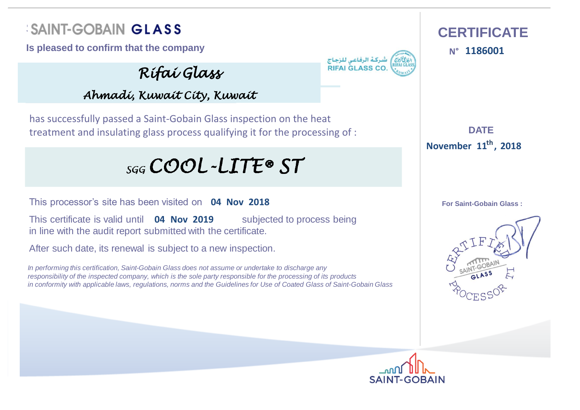## **SAINT-GOBAIN GLASS CERTIFICATE**

**Is pleased to confirm that the company 1186001**

*Rifai Glass*

*Ahmadi, Kuwait City, Kuwait*

**RIFALGLASS C** 

**N°**

has successfully passed a Saint-Gobain Glass inspection on the heat treatment and insulating glass process qualifying it for the processing of :

 $_{SGG}$ COOL-LITE® ST

This processor's site has been visited on **04 Nov 2018**

This certificate is valid until **04 Nov 2019** Subjected to process being in line with the audit report submitted with the certificate.

After such date, its renewal is subject to a new inspection.

*In performing this certification, Saint-Gobain Glass does not assume or undertake to discharge any responsibility of the inspected company, which is the sole party responsible for the processing of its products in conformity with applicable laws, regulations, norms and the Guidelines for Use of Coated Glass of Saint-Gobain Glass*

**DATE : 11 November 2018 th ,**



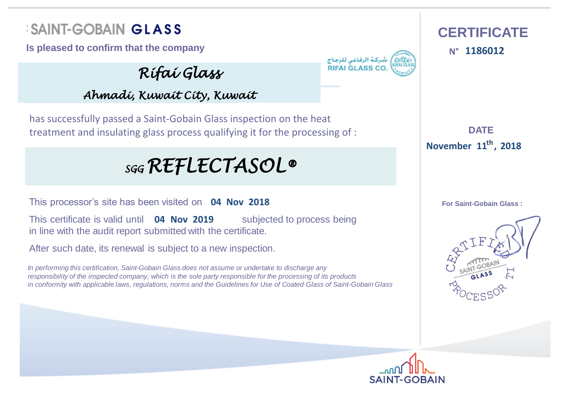## **SAINT-GOBAIN GLASS CERTIFICATE**

**Is pleased to confirm that the company** المسركة الرفاعى للزجاج **11860122** 

*Rifai Glass*

**RIFALGLASS C** 

**N°**

*Ahmadi, Kuwait City, Kuwait*

has successfully passed a Saint-Gobain Glass inspection on the heat treatment and insulating glass process qualifying it for the processing of :

## *SGG REFLECTASOL®*

This processor's site has been visited on **04 Nov 2018**

This certificate is valid until **04 Nov 2019** Subjected to process being in line with the audit report submitted with the certificate.

After such date, its renewal is subject to a new inspection.

*In performing this certification, Saint-Gobain Glass does not assume or undertake to discharge any responsibility of the inspected company, which is the sole party responsible for the processing of its products in conformity with applicable laws, regulations, norms and the Guidelines for Use of Coated Glass of Saint-Gobain Glass*

**DATE : 11 November 2018 th ,**



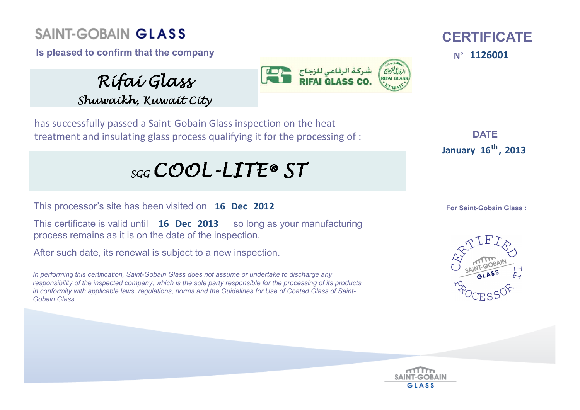### **Saint-Gobain Glass**

**Is pleased to confirm that the company** 

*Rifai Glass Shuwaikh, Kuwait City*



has successfully passed <sup>a</sup> Saint‐Gobain Glass inspection on the heat treatment and insulating glass process qualifying it for the processing of :

# $_{SGG}$ COOL-LITE® ST

This processor's site has been visited on **16 Dec 2012**

**This certificate is valid until 16 Dec 2013** so long as your manufacturing process remains as it is on the date of the inspection.

After such date, its renewal is subject to a new inspection.

*In performing this certification, Saint-Gobain Glass does not assume or undertake to discharge any responsibility of the inspected company, which is the sole party responsible for the processing of its products in conformity with applicable laws, regulations, norms and the Guidelines for Use of Coated Glass of Saint-Gobain Glass*

#### **CERTIFICATEN°**

**DATE :16 January <sup>2013</sup> th,**



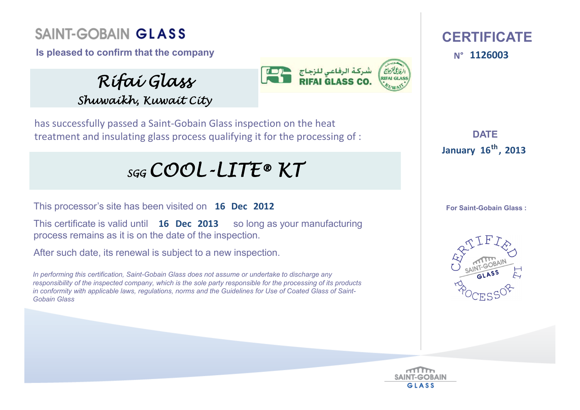### **Saint-Gobain Glass**

**Is pleased to confirm that the company** 

*Rifai Glass Shuwaikh, Kuwait City*



has successfully passed <sup>a</sup> Saint‐Gobain Glass inspection on the heat treatment and insulating glass process qualifying it for the processing of :

## *SGG COOL-LITE® KT*

This processor's site has been visited on **16 Dec 2012**

**This certificate is valid until 16 Dec 2013** so long as your manufacturing process remains as it is on the date of the inspection.

After such date, its renewal is subject to a new inspection.

*In performing this certification, Saint-Gobain Glass does not assume or undertake to discharge any responsibility of the inspected company, which is the sole party responsible for the processing of its products in conformity with applicable laws, regulations, norms and the Guidelines for Use of Coated Glass of Saint-Gobain Glass*

 **CERTIFICATE**N° 1126003

**DATE :16 January <sup>2013</sup> th,**